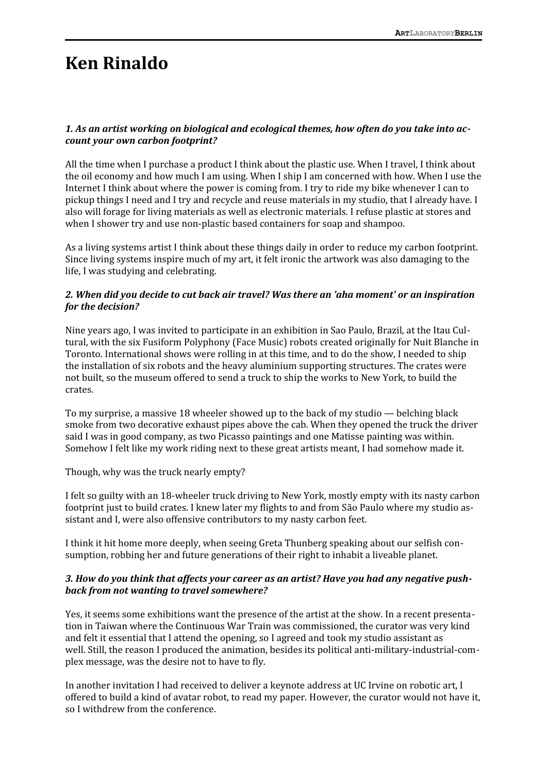# **Ken Rinaldo**

# *1. As an artist working on biological and ecological themes, how often do you take into account your own carbon footprint?*

All the time when I purchase a product I think about the plastic use. When I travel, I think about the oil economy and how much I am using. When I ship I am concerned with how. When I use the Internet I think about where the power is coming from. I try to ride my bike whenever I can to pickup things I need and I try and recycle and reuse materials in my studio, that I already have. I also will forage for living materials as well as electronic materials. I refuse plastic at stores and when I shower try and use non-plastic based containers for soap and shampoo.

As a living systems artist I think about these things daily in order to reduce my carbon footprint. Since living systems inspire much of my art, it felt ironic the artwork was also damaging to the life, I was studying and celebrating.

# *2. When did you decide to cut back air travel? Was there an 'aha moment' or an inspiration for the decision?*

Nine years ago, I was invited to participate in an exhibition in Sao Paulo, Brazil, at the Itau Cultural, with the six Fusiform Polyphony (Face Music) robots created originally for Nuit Blanche in Toronto. International shows were rolling in at this time, and to do the show, I needed to ship the installation of six robots and the heavy aluminium supporting structures. The crates were not built, so the museum offered to send a truck to ship the works to New York, to build the crates.

To my surprise, a massive 18 wheeler showed up to the back of my studio — belching black smoke from two decorative exhaust pipes above the cab. When they opened the truck the driver said I was in good company, as two Picasso paintings and one Matisse painting was within. Somehow I felt like my work riding next to these great artists meant, I had somehow made it.

Though, why was the truck nearly empty?

I felt so guilty with an 18-wheeler truck driving to New York, mostly empty with its nasty carbon footprint just to build crates. I knew later my flights to and from São Paulo where my studio assistant and I, were also offensive contributors to my nasty carbon feet.

I think it hit home more deeply, when seeing Greta Thunberg speaking about our selfish consumption, robbing her and future generations of their right to inhabit a liveable planet.

#### *3. How do you think that affects your career as an artist? Have you had any negative pushback from not wanting to travel somewhere?*

Yes, it seems some exhibitions want the presence of the artist at the show. In a recent presentation in Taiwan where the Continuous War Train was commissioned, the curator was very kind and felt it essential that I attend the opening, so I agreed and took my studio assistant as well. Still, the reason I produced the animation, besides its political anti-military-industrial-complex message, was the desire not to have to fly.

In another invitation I had received to deliver a keynote address at UC Irvine on robotic art, I offered to build a kind of avatar robot, to read my paper. However, the curator would not have it, so I withdrew from the conference.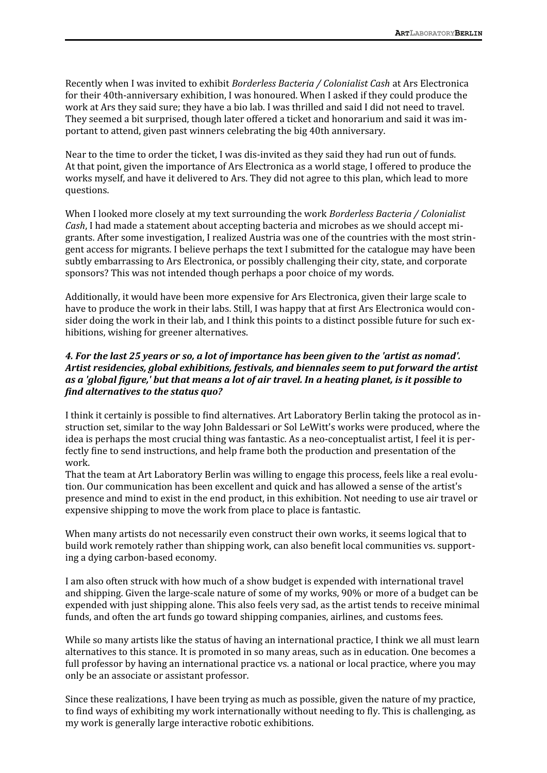Recently when I was invited to exhibit *Borderless Bacteria / Colonialist Cash* at Ars Electronica for their 40th-anniversary exhibition, I was honoured. When I asked if they could produce the work at Ars they said sure; they have a bio lab. I was thrilled and said I did not need to travel. They seemed a bit surprised, though later offered a ticket and honorarium and said it was important to attend, given past winners celebrating the big 40th anniversary.

Near to the time to order the ticket, I was dis-invited as they said they had run out of funds. At that point, given the importance of Ars Electronica as a world stage, I offered to produce the works myself, and have it delivered to Ars. They did not agree to this plan, which lead to more questions.

When I looked more closely at my text surrounding the work *Borderless Bacteria / Colonialist Cash*, I had made a statement about accepting bacteria and microbes as we should accept migrants. After some investigation, I realized Austria was one of the countries with the most stringent access for migrants. I believe perhaps the text I submitted for the catalogue may have been subtly embarrassing to Ars Electronica, or possibly challenging their city, state, and corporate sponsors? This was not intended though perhaps a poor choice of my words.

Additionally, it would have been more expensive for Ars Electronica, given their large scale to have to produce the work in their labs. Still, I was happy that at first Ars Electronica would consider doing the work in their lab, and I think this points to a distinct possible future for such exhibitions, wishing for greener alternatives.

# *4. For the last 25 years or so, a lot of importance has been given to the 'artist as nomad'. Artist residencies, global exhibitions, festivals, and biennales seem to put forward the artist as a 'global figure,' but that means a lot of air travel. In a heating planet, is it possible to find alternatives to the status quo?*

I think it certainly is possible to find alternatives. Art Laboratory Berlin taking the protocol as instruction set, similar to the way John Baldessari or Sol LeWitt's works were produced, where the idea is perhaps the most crucial thing was fantastic. As a neo-conceptualist artist, I feel it is perfectly fine to send instructions, and help frame both the production and presentation of the work.

That the team at Art Laboratory Berlin was willing to engage this process, feels like a real evolution. Our communication has been excellent and quick and has allowed a sense of the artist's presence and mind to exist in the end product, in this exhibition. Not needing to use air travel or expensive shipping to move the work from place to place is fantastic.

When many artists do not necessarily even construct their own works, it seems logical that to build work remotely rather than shipping work, can also benefit local communities vs. supporting a dying carbon-based economy.

I am also often struck with how much of a show budget is expended with international travel and shipping. Given the large-scale nature of some of my works, 90% or more of a budget can be expended with just shipping alone. This also feels very sad, as the artist tends to receive minimal funds, and often the art funds go toward shipping companies, airlines, and customs fees.

While so many artists like the status of having an international practice, I think we all must learn alternatives to this stance. It is promoted in so many areas, such as in education. One becomes a full professor by having an international practice vs. a national or local practice, where you may only be an associate or assistant professor.

Since these realizations, I have been trying as much as possible, given the nature of my practice, to find ways of exhibiting my work internationally without needing to fly. This is challenging, as my work is generally large interactive robotic exhibitions.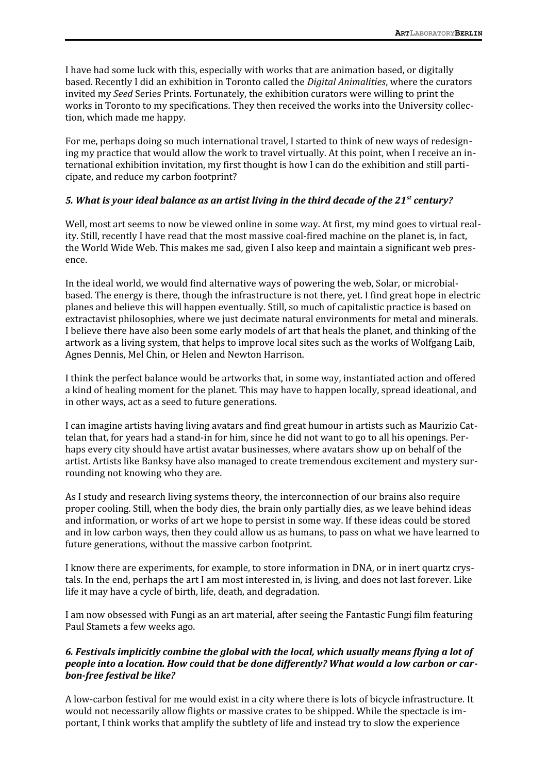I have had some luck with this, especially with works that are animation based, or digitally based. Recently I did an exhibition in Toronto called the *Digital Animalities*, where the curators invited my *Seed* Series Prints. Fortunately, the exhibition curators were willing to print the works in Toronto to my specifications. They then received the works into the University collection, which made me happy.

For me, perhaps doing so much international travel, I started to think of new ways of redesigning my practice that would allow the work to travel virtually. At this point, when I receive an international exhibition invitation, my first thought is how I can do the exhibition and still participate, and reduce my carbon footprint?

#### *5. What is your ideal balance as an artist living in the third decade of the 21st century?*

Well, most art seems to now be viewed online in some way. At first, my mind goes to virtual reality. Still, recently I have read that the most massive coal-fired machine on the planet is, in fact, the World Wide Web. This makes me sad, given I also keep and maintain a significant web presence.

In the ideal world, we would find alternative ways of powering the web, Solar, or microbialbased. The energy is there, though the infrastructure is not there, yet. I find great hope in electric planes and believe this will happen eventually. Still, so much of capitalistic practice is based on extractavist philosophies, where we just decimate natural environments for metal and minerals. I believe there have also been some early models of art that heals the planet, and thinking of the artwork as a living system, that helps to improve local sites such as the works of Wolfgang Laib, Agnes Dennis, Mel Chin, or Helen and Newton Harrison.

I think the perfect balance would be artworks that, in some way, instantiated action and offered a kind of healing moment for the planet. This may have to happen locally, spread ideational, and in other ways, act as a seed to future generations.

I can imagine artists having living avatars and find great humour in artists such as Maurizio Cattelan that, for years had a stand-in for him, since he did not want to go to all his openings. Perhaps every city should have artist avatar businesses, where avatars show up on behalf of the artist. Artists like Banksy have also managed to create tremendous excitement and mystery surrounding not knowing who they are.

As I study and research living systems theory, the interconnection of our brains also require proper cooling. Still, when the body dies, the brain only partially dies, as we leave behind ideas and information, or works of art we hope to persist in some way. If these ideas could be stored and in low carbon ways, then they could allow us as humans, to pass on what we have learned to future generations, without the massive carbon footprint.

I know there are experiments, for example, to store information in DNA, or in inert quartz crystals. In the end, perhaps the art I am most interested in, is living, and does not last forever. Like life it may have a cycle of birth, life, death, and degradation.

I am now obsessed with Fungi as an art material, after seeing the Fantastic Fungi film featuring Paul Stamets a few weeks ago.

#### *6. Festivals implicitly combine the global with the local, which usually means flying a lot of people into a location. How could that be done differently? What would a low carbon or carbon-free festival be like?*

A low-carbon festival for me would exist in a city where there is lots of bicycle infrastructure. It would not necessarily allow flights or massive crates to be shipped. While the spectacle is important, I think works that amplify the subtlety of life and instead try to slow the experience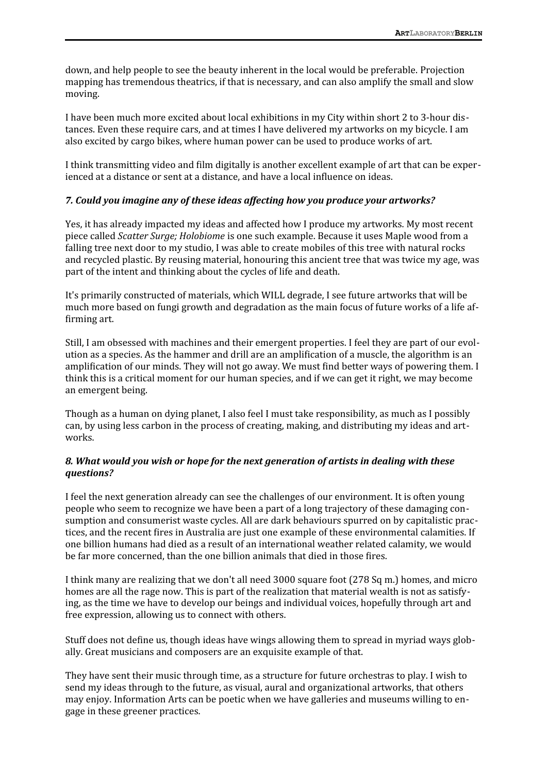down, and help people to see the beauty inherent in the local would be preferable. Projection mapping has tremendous theatrics, if that is necessary, and can also amplify the small and slow moving.

I have been much more excited about local exhibitions in my City within short 2 to 3-hour distances. Even these require cars, and at times I have delivered my artworks on my bicycle. I am also excited by cargo bikes, where human power can be used to produce works of art.

I think transmitting video and film digitally is another excellent example of art that can be experienced at a distance or sent at a distance, and have a local influence on ideas.

#### *7. Could you imagine any of these ideas affecting how you produce your artworks?*

Yes, it has already impacted my ideas and affected how I produce my artworks. My most recent piece called *Scatter Surge; Holobiome* is one such example. Because it uses Maple wood from a falling tree next door to my studio, I was able to create mobiles of this tree with natural rocks and recycled plastic. By reusing material, honouring this ancient tree that was twice my age, was part of the intent and thinking about the cycles of life and death.

It's primarily constructed of materials, which WILL degrade, I see future artworks that will be much more based on fungi growth and degradation as the main focus of future works of a life affirming art.

Still, I am obsessed with machines and their emergent properties. I feel they are part of our evolution as a species. As the hammer and drill are an amplification of a muscle, the algorithm is an amplification of our minds. They will not go away. We must find better ways of powering them. I think this is a critical moment for our human species, and if we can get it right, we may become an emergent being.

Though as a human on dying planet, I also feel I must take responsibility, as much as I possibly can, by using less carbon in the process of creating, making, and distributing my ideas and artworks.

#### *8. What would you wish or hope for the next generation of artists in dealing with these questions?*

I feel the next generation already can see the challenges of our environment. It is often young people who seem to recognize we have been a part of a long trajectory of these damaging consumption and consumerist waste cycles. All are dark behaviours spurred on by capitalistic practices, and the recent fires in Australia are just one example of these environmental calamities. If one billion humans had died as a result of an international weather related calamity, we would be far more concerned, than the one billion animals that died in those fires.

I think many are realizing that we don't all need 3000 square foot (278 Sq m.) homes, and micro homes are all the rage now. This is part of the realization that material wealth is not as satisfying, as the time we have to develop our beings and individual voices, hopefully through art and free expression, allowing us to connect with others.

Stuff does not define us, though ideas have wings allowing them to spread in myriad ways globally. Great musicians and composers are an exquisite example of that.

They have sent their music through time, as a structure for future orchestras to play. I wish to send my ideas through to the future, as visual, aural and organizational artworks, that others may enjoy. Information Arts can be poetic when we have galleries and museums willing to engage in these greener practices.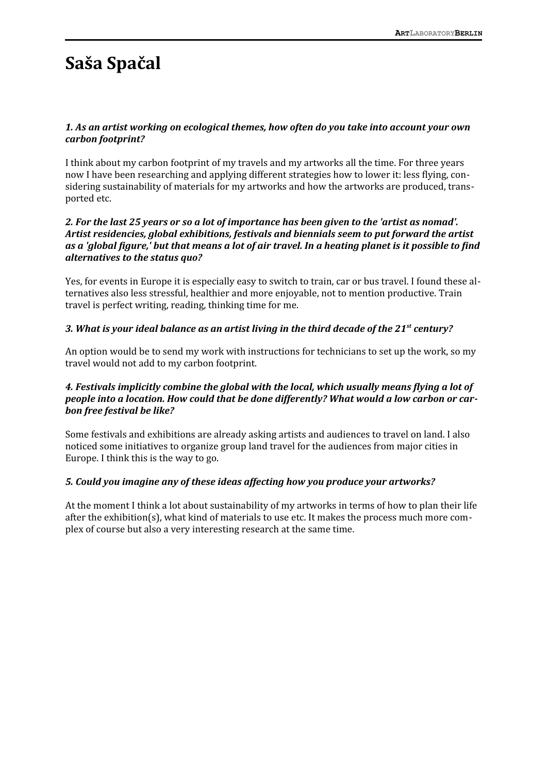# **Saša Spačal**

# *1. As an artist working on ecological themes, how often do you take into account your own carbon footprint?*

I think about my carbon footprint of my travels and my artworks all the time. For three years now I have been researching and applying different strategies how to lower it: less flying, considering sustainability of materials for my artworks and how the artworks are produced, transported etc.

#### *2. For the last 25 years or so a lot of importance has been given to the 'artist as nomad'. Artist residencies, global exhibitions, festivals and biennials seem to put forward the artist as a 'global figure,' but that means a lot of air travel. In a heating planet is it possible to find alternatives to the status quo?*

Yes, for events in Europe it is especially easy to switch to train, car or bus travel. I found these alternatives also less stressful, healthier and more enjoyable, not to mention productive. Train travel is perfect writing, reading, thinking time for me.

# *3. What is your ideal balance as an artist living in the third decade of the 21st century?*

An option would be to send my work with instructions for technicians to set up the work, so my travel would not add to my carbon footprint.

# *4. Festivals implicitly combine the global with the local, which usually means flying a lot of people into a location. How could that be done differently? What would a low carbon or carbon free festival be like?*

Some festivals and exhibitions are already asking artists and audiences to travel on land. I also noticed some initiatives to organize group land travel for the audiences from major cities in Europe. I think this is the way to go.

# *5. Could you imagine any of these ideas affecting how you produce your artworks?*

At the moment I think a lot about sustainability of my artworks in terms of how to plan their life after the exhibition(s), what kind of materials to use etc. It makes the process much more complex of course but also a very interesting research at the same time.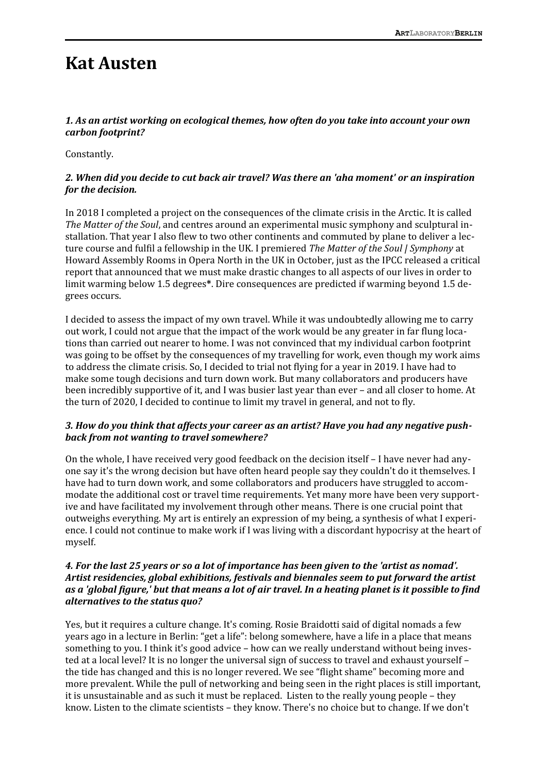# **Kat Austen**

# *1. As an artist working on ecological themes, how often do you take into account your own carbon footprint?*

Constantly.

#### *2. When did you decide to cut back air travel? Was there an 'aha moment' or an inspiration for the decision.*

In 2018 I completed a project on the consequences of the climate crisis in the Arctic. It is called *The Matter of the Soul*, and centres around an experimental music symphony and sculptural installation. That year I also flew to two other continents and commuted by plane to deliver a lecture course and fulfil a fellowship in the UK. I premiered *The Matter of the Soul | Symphony* at Howard Assembly Rooms in Opera North in the UK in October, just as the IPCC released a critical report that announced that we must make drastic changes to all aspects of our lives in order to limit warming below 1.5 degrees**\***. Dire consequences are predicted if warming beyond 1.5 degrees occurs.

I decided to assess the impact of my own travel. While it was undoubtedly allowing me to carry out work, I could not argue that the impact of the work would be any greater in far flung locations than carried out nearer to home. I was not convinced that my individual carbon footprint was going to be offset by the consequences of my travelling for work, even though my work aims to address the climate crisis. So, I decided to trial not flying for a year in 2019. I have had to make some tough decisions and turn down work. But many collaborators and producers have been incredibly supportive of it, and I was busier last year than ever – and all closer to home. At the turn of 2020, I decided to continue to limit my travel in general, and not to fly.

# *3. How do you think that affects your career as an artist? Have you had any negative pushback from not wanting to travel somewhere?*

On the whole, I have received very good feedback on the decision itself – I have never had anyone say it's the wrong decision but have often heard people say they couldn't do it themselves. I have had to turn down work, and some collaborators and producers have struggled to accommodate the additional cost or travel time requirements. Yet many more have been very supportive and have facilitated my involvement through other means. There is one crucial point that outweighs everything. My art is entirely an expression of my being, a synthesis of what I experience. I could not continue to make work if I was living with a discordant hypocrisy at the heart of myself.

# *4. For the last 25 years or so a lot of importance has been given to the 'artist as nomad'. Artist residencies, global exhibitions, festivals and biennales seem to put forward the artist as a 'global figure,' but that means a lot of air travel. In a heating planet is it possible to find alternatives to the status quo?*

Yes, but it requires a culture change. It's coming. Rosie Braidotti said of digital nomads a few years ago in a lecture in Berlin: "get a life": belong somewhere, have a life in a place that means something to you. I think it's good advice – how can we really understand without being invested at a local level? It is no longer the universal sign of success to travel and exhaust yourself – the tide has changed and this is no longer revered. We see "flight shame" becoming more and more prevalent. While the pull of networking and being seen in the right places is still important, it is unsustainable and as such it must be replaced. Listen to the really young people – they know. Listen to the climate scientists – they know. There's no choice but to change. If we don't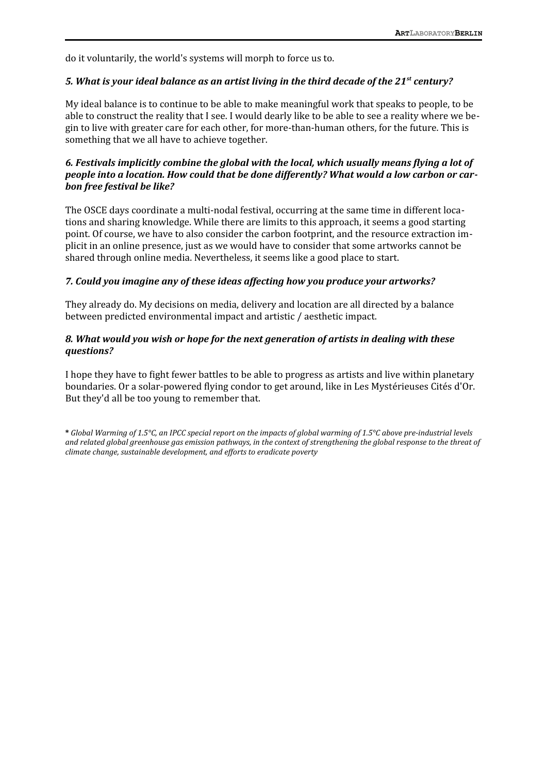do it voluntarily, the world's systems will morph to force us to.

#### *5. What is your ideal balance as an artist living in the third decade of the 21st century?*

My ideal balance is to continue to be able to make meaningful work that speaks to people, to be able to construct the reality that I see. I would dearly like to be able to see a reality where we begin to live with greater care for each other, for more-than-human others, for the future. This is something that we all have to achieve together.

# *6. Festivals implicitly combine the global with the local, which usually means flying a lot of people into a location. How could that be done differently? What would a low carbon or carbon free festival be like?*

The OSCE days coordinate a multi-nodal festival, occurring at the same time in different locations and sharing knowledge. While there are limits to this approach, it seems a good starting point. Of course, we have to also consider the carbon footprint, and the resource extraction implicit in an online presence, just as we would have to consider that some artworks cannot be shared through online media. Nevertheless, it seems like a good place to start.

#### *7. Could you imagine any of these ideas affecting how you produce your artworks?*

They already do. My decisions on media, delivery and location are all directed by a balance between predicted environmental impact and artistic / aesthetic impact.

#### *8. What would you wish or hope for the next generation of artists in dealing with these questions?*

I hope they have to fight fewer battles to be able to progress as artists and live within planetary boundaries. Or a solar-powered flying condor to get around, like in Les Mystérieuses Cités d'Or. But they'd all be too young to remember that.

**\*** *Global Warming of 1.5°C, an IPCC special report on the impacts of global warming of 1.5°C above pre-industrial levels and related global greenhouse gas emission pathways, in the context of strengthening the global response to the threat of climate change, sustainable development, and efforts to eradicate poverty*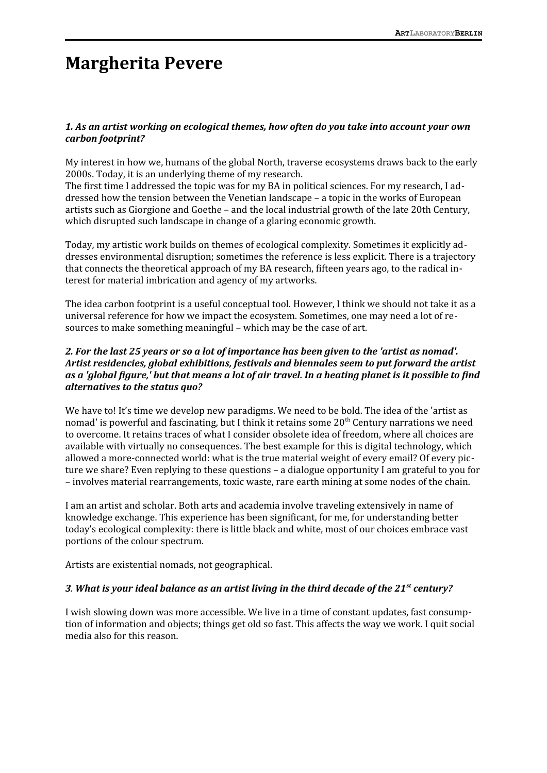# **Margherita Pevere**

#### *1. As an artist working on ecological themes, how often do you take into account your own carbon footprint?*

My interest in how we, humans of the global North, traverse ecosystems draws back to the early 2000s. Today, it is an underlying theme of my research.

The first time I addressed the topic was for my BA in political sciences. For my research, I addressed how the tension between the Venetian landscape – a topic in the works of European artists such as Giorgione and Goethe – and the local industrial growth of the late 20th Century, which disrupted such landscape in change of a glaring economic growth.

Today, my artistic work builds on themes of ecological complexity. Sometimes it explicitly addresses environmental disruption; sometimes the reference is less explicit. There is a trajectory that connects the theoretical approach of my BA research, fifteen years ago, to the radical interest for material imbrication and agency of my artworks.

The idea carbon footprint is a useful conceptual tool. However, I think we should not take it as a universal reference for how we impact the ecosystem. Sometimes, one may need a lot of resources to make something meaningful – which may be the case of art.

#### *2. For the last 25 years or so a lot of importance has been given to the 'artist as nomad'. Artist residencies, global exhibitions, festivals and biennales seem to put forward the artist as a 'global figure,' but that means a lot of air travel. In a heating planet is it possible to find alternatives to the status quo?*

We have to! It's time we develop new paradigms. We need to be bold. The idea of the 'artist as nomad' is powerful and fascinating, but I think it retains some  $20<sup>th</sup>$  Century narrations we need to overcome. It retains traces of what I consider obsolete idea of freedom, where all choices are available with virtually no consequences. The best example for this is digital technology, which allowed a more-connected world: what is the true material weight of every email? Of every picture we share? Even replying to these questions – a dialogue opportunity I am grateful to you for – involves material rearrangements, toxic waste, rare earth mining at some nodes of the chain.

I am an artist and scholar. Both arts and academia involve traveling extensively in name of knowledge exchange. This experience has been significant, for me, for understanding better today's ecological complexity: there is little black and white, most of our choices embrace vast portions of the colour spectrum.

Artists are existential nomads, not geographical.

#### *3. What is your ideal balance as an artist living in the third decade of the 21st century?*

I wish slowing down was more accessible. We live in a time of constant updates, fast consumption of information and objects; things get old so fast. This affects the way we work. I quit social media also for this reason.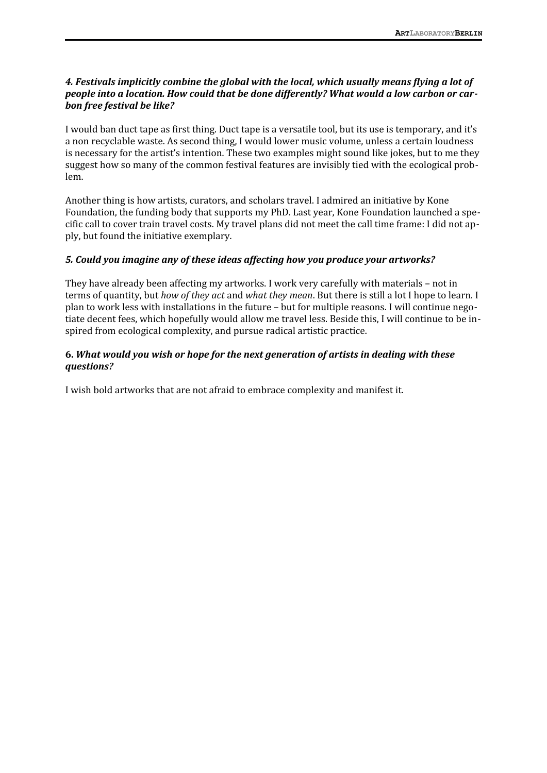# *4. Festivals implicitly combine the global with the local, which usually means flying a lot of people into a location. How could that be done differently? What would a low carbon or carbon free festival be like?*

I would ban duct tape as first thing. Duct tape is a versatile tool, but its use is temporary, and it's a non recyclable waste. As second thing, I would lower music volume, unless a certain loudness is necessary for the artist's intention. These two examples might sound like jokes, but to me they suggest how so many of the common festival features are invisibly tied with the ecological problem.

Another thing is how artists, curators, and scholars travel. I admired an initiative by Kone Foundation, the funding body that supports my PhD. Last year, Kone Foundation launched a specific call to cover train travel costs. My travel plans did not meet the call time frame: I did not apply, but found the initiative exemplary.

# *5. Could you imagine any of these ideas affecting how you produce your artworks?*

They have already been affecting my artworks. I work very carefully with materials – not in terms of quantity, but *how of they act* and *what they mean*. But there is still a lot I hope to learn. I plan to work less with installations in the future – but for multiple reasons. I will continue negotiate decent fees, which hopefully would allow me travel less. Beside this, I will continue to be inspired from ecological complexity, and pursue radical artistic practice.

#### **6.** *What would you wish or hope for the next generation of artists in dealing with these questions?*

I wish bold artworks that are not afraid to embrace complexity and manifest it.